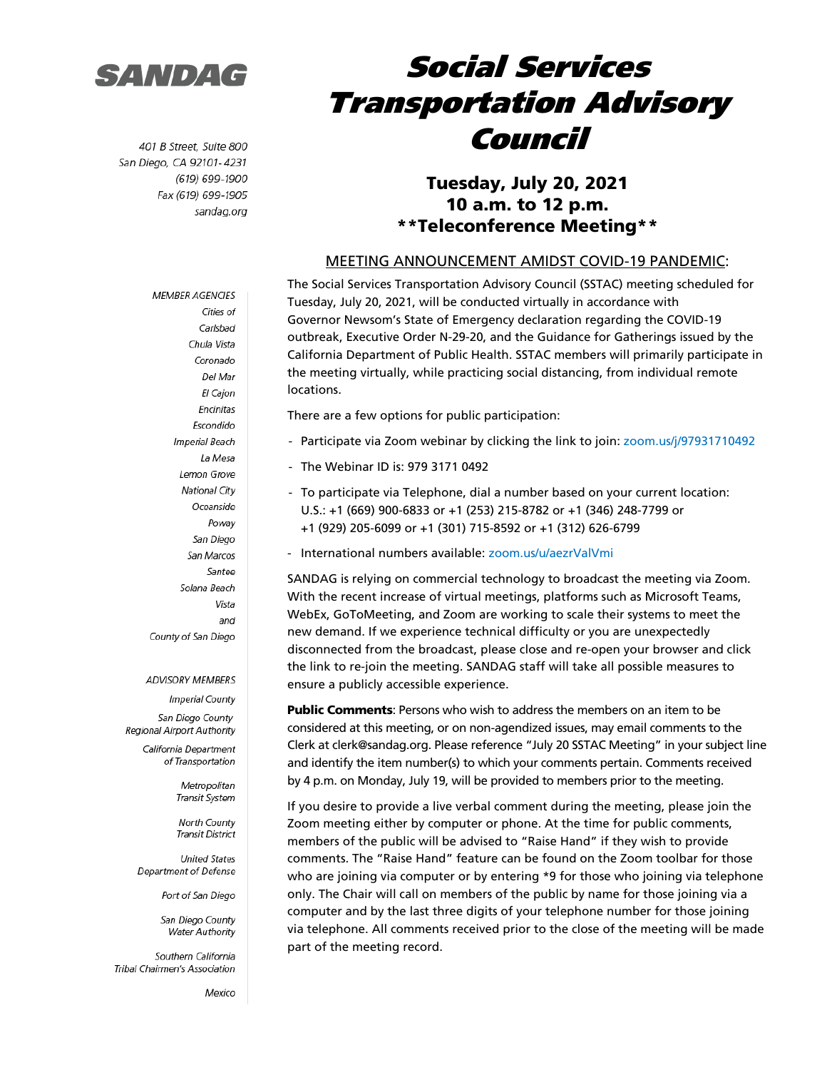

401 B Street, Suite 800 San Diego, CA 92101-4231 (619) 699-1900 Fax (619) 699-1905 sandag.org

**MEMBER AGENCIES** 

## Social Services Transportation Advisory Council

### Tuesday, July 20, 2021 10 a.m. to 12 p.m. \*\*Teleconference Meeting\*\*

#### MEETING ANNOUNCEMENT AMIDST COVID-19 PANDEMIC:

The Social Services Transportation Advisory Council (SSTAC) meeting scheduled for Tuesday, July 20, 2021, will be conducted virtually in accordance with Governor Newsom's State of Emergency declaration regarding the COVID-19 outbreak, Executive Order N-29-20, and the Guidance for Gatherings issued by the California Department of Public Health. SSTAC members will primarily participate in the meeting virtually, while practicing social distancing, from individual remote locations.

There are a few options for public participation:

- Participate via Zoom webinar by clicking the link to join: [zoom.us/j/97931710492](https://zoom.us/j/97931710492)
- The Webinar ID is: 979 3171 0492
- To participate via Telephone, dial a number based on your current location: U.S.: +1 (669) 900-6833 or +1 (253) 215-8782 or +1 (346) 248-7799 or +1 (929) 205-6099 or +1 (301) 715-8592 or +1 (312) 626-6799
- International numbers available: [zoom.us/u/aezrValVmi](https://zoom.us/u/aezrValVmi)

SANDAG is relying on commercial technology to broadcast the meeting via Zoom. With the recent increase of virtual meetings, platforms such as Microsoft Teams, WebEx, GoToMeeting, and Zoom are working to scale their systems to meet the new demand. If we experience technical difficulty or you are unexpectedly disconnected from the broadcast, please close and re-open your browser and click the link to re-join the meeting. SANDAG staff will take all possible measures to ensure a publicly accessible experience.

**Public Comments:** Persons who wish to address the members on an item to be considered at this meeting, or on non-agendized issues, may email comments to the Clerk at clerk@sandag.org. Please reference "July 20 SSTAC Meeting" in your subject line and identify the item number(s) to which your comments pertain. Comments received by 4 p.m. on Monday, July 19, will be provided to members prior to the meeting.

If you desire to provide a live verbal comment during the meeting, please join the Zoom meeting either by computer or phone. At the time for public comments, members of the public will be advised to "Raise Hand" if they wish to provide comments. The "Raise Hand" feature can be found on the Zoom toolbar for those who are joining via computer or by entering \*9 for those who joining via telephone only. The Chair will call on members of the public by name for those joining via a computer and by the last three digits of your telephone number for those joining via telephone. All comments received prior to the close of the meeting will be made part of the meeting record.

Cities of Carlsbad Chula Vista Coronado Del Mar El Cajon Encinitas Escondido Imperial Beach La Mesa Lemon Grove **National City** Oceanside Poway San Diego San Marcos Santee Solana Beach Vista and County of San Diego

#### **ADVISORY MEMBERS**

**Imperial County** San Diego County Regional Airport Authority

> California Department of Transportation

> > Metropolitan Transit System

North County **Transit District** 

**United States** Department of Defense

Port of San Diego

San Diego County **Water Authority** 

Southern California Tribal Chairmen's Association

Mexico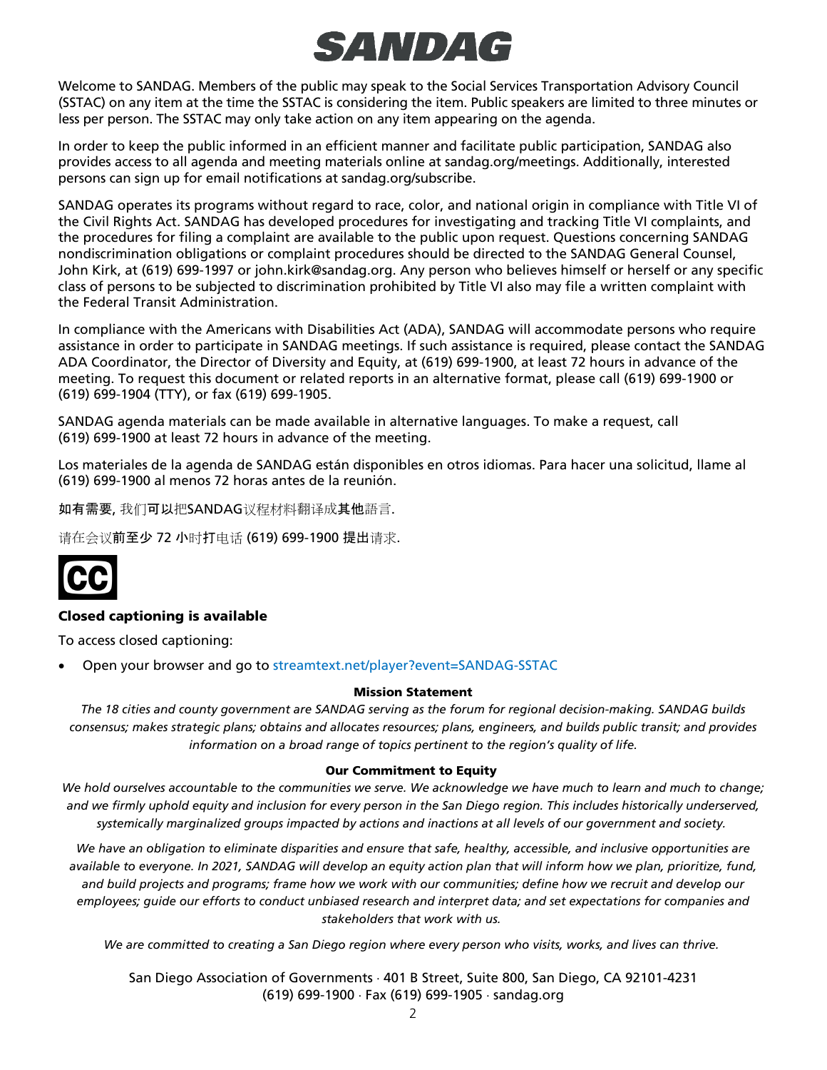# SANDA G

Welcome to SANDAG. Members of the public may speak to the Social Services Transportation Advisory Council (SSTAC) on any item at the time the SSTAC is considering the item. Public speakers are limited to three minutes or less per person. The SSTAC may only take action on any item appearing on the agenda.

In order to keep the public informed in an efficient manner and facilitate public participation, SANDAG also provides access to all agenda and meeting materials online at sandag.org/meetings. Additionally, interested persons can sign up for email notifications at sandag.org/subscribe.

SANDAG operates its programs without regard to race, color, and national origin in compliance with Title VI of the Civil Rights Act. SANDAG has developed procedures for investigating and tracking Title VI complaints, and the procedures for filing a complaint are available to the public upon request. Questions concerning SANDAG nondiscrimination obligations or complaint procedures should be directed to the SANDAG General Counsel, John Kirk, at (619) 699-1997 or john.kirk@sandag.org. Any person who believes himself or herself or any specific class of persons to be subjected to discrimination prohibited by Title VI also may file a written complaint with the Federal Transit Administration.

In compliance with the Americans with Disabilities Act (ADA), SANDAG will accommodate persons who require assistance in order to participate in SANDAG meetings. If such assistance is required, please contact the SANDAG ADA Coordinator, the Director of Diversity and Equity, at (619) 699-1900, at least 72 hours in advance of the meeting. To request this document or related reports in an alternative format, please call (619) 699-1900 or (619) 699-1904 (TTY), or fax (619) 699-1905.

SANDAG agenda materials can be made available in alternative languages. To make a request, call (619) 699-1900 at least 72 hours in advance of the meeting.

Los materiales de la agenda de SANDAG están disponibles en otros idiomas. Para hacer una solicitud, llame al (619) 699-1900 al menos 72 horas antes de la reunión.

如有需要, 我们可以把SANDAG议程材料翻译成其他語言.

请在会议前至少 72 小时打电话 (619) 699-1900 提出请求.



#### Closed captioning is available

To access closed captioning:

• Open your browser and go to [streamtext.net/player?event=SANDAG-SSTAC](https://www.streamtext.net/player?event=SANDAG-SSTAC)

#### Mission Statement

*The 18 cities and county government are SANDAG serving as the forum for regional decision-making. SANDAG builds consensus; makes strategic plans; obtains and allocates resources; plans, engineers, and builds public transit; and provides information on a broad range of topics pertinent to the region's quality of life.*

#### Our Commitment to Equity

*We hold ourselves accountable to the communities we serve. We acknowledge we have much to learn and much to change; and we firmly uphold equity and inclusion for every person in the San Diego region. This includes historically underserved, systemically marginalized groups impacted by actions and inactions at all levels of our government and society.*

*We have an obligation to eliminate disparities and ensure that safe, healthy, accessible, and inclusive opportunities are available to everyone. In 2021, SANDAG will develop an equity action plan that will inform how we plan, prioritize, fund, and build projects and programs; frame how we work with our communities; define how we recruit and develop our*  employees; quide our efforts to conduct unbiased research and interpret data; and set expectations for companies and *stakeholders that work with us.*

*We are committed to creating a San Diego region where every person who visits, works, and lives can thrive.*

San Diego Association of Governments ⋅ 401 B Street, Suite 800, San Diego, CA 92101-4231 (619) 699-1900 ⋅ Fax (619) 699-1905 ⋅ sandag.org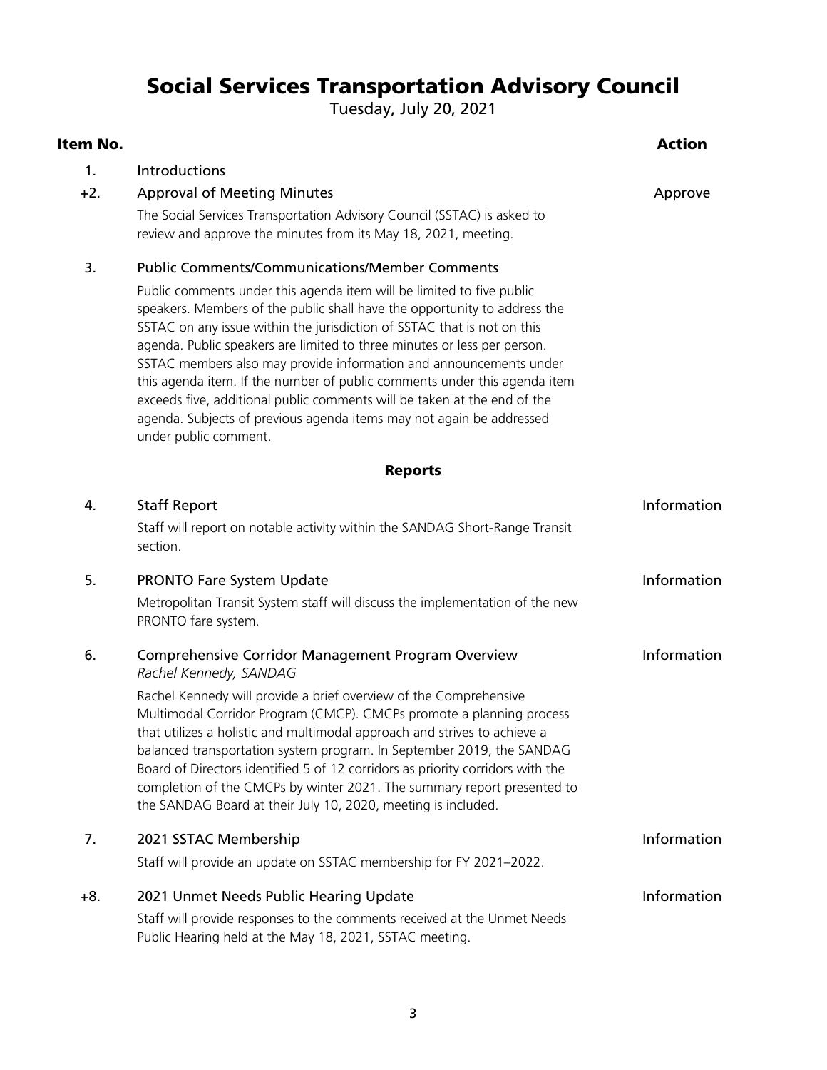### Social Services Transportation Advisory Council

Tuesday, July 20, 2021

| Item No. |                                                                                                                                                                                                                                                                                                                                                                                                                                                                                                                                                                                                                                           | <b>Action</b> |
|----------|-------------------------------------------------------------------------------------------------------------------------------------------------------------------------------------------------------------------------------------------------------------------------------------------------------------------------------------------------------------------------------------------------------------------------------------------------------------------------------------------------------------------------------------------------------------------------------------------------------------------------------------------|---------------|
| 1.       | Introductions                                                                                                                                                                                                                                                                                                                                                                                                                                                                                                                                                                                                                             |               |
| $+2.$    | <b>Approval of Meeting Minutes</b>                                                                                                                                                                                                                                                                                                                                                                                                                                                                                                                                                                                                        | Approve       |
|          | The Social Services Transportation Advisory Council (SSTAC) is asked to<br>review and approve the minutes from its May 18, 2021, meeting.                                                                                                                                                                                                                                                                                                                                                                                                                                                                                                 |               |
| 3.       | <b>Public Comments/Communications/Member Comments</b>                                                                                                                                                                                                                                                                                                                                                                                                                                                                                                                                                                                     |               |
|          | Public comments under this agenda item will be limited to five public<br>speakers. Members of the public shall have the opportunity to address the<br>SSTAC on any issue within the jurisdiction of SSTAC that is not on this<br>agenda. Public speakers are limited to three minutes or less per person.<br>SSTAC members also may provide information and announcements under<br>this agenda item. If the number of public comments under this agenda item<br>exceeds five, additional public comments will be taken at the end of the<br>agenda. Subjects of previous agenda items may not again be addressed<br>under public comment. |               |
|          | <b>Reports</b>                                                                                                                                                                                                                                                                                                                                                                                                                                                                                                                                                                                                                            |               |
| 4.       | <b>Staff Report</b>                                                                                                                                                                                                                                                                                                                                                                                                                                                                                                                                                                                                                       | Information   |
|          | Staff will report on notable activity within the SANDAG Short-Range Transit<br>section.                                                                                                                                                                                                                                                                                                                                                                                                                                                                                                                                                   |               |
| 5.       | <b>PRONTO Fare System Update</b>                                                                                                                                                                                                                                                                                                                                                                                                                                                                                                                                                                                                          | Information   |
|          | Metropolitan Transit System staff will discuss the implementation of the new<br>PRONTO fare system.                                                                                                                                                                                                                                                                                                                                                                                                                                                                                                                                       |               |
| 6.       | <b>Comprehensive Corridor Management Program Overview</b><br>Rachel Kennedy, SANDAG                                                                                                                                                                                                                                                                                                                                                                                                                                                                                                                                                       | Information   |
|          | Rachel Kennedy will provide a brief overview of the Comprehensive<br>Multimodal Corridor Program (CMCP). CMCPs promote a planning process<br>that utilizes a holistic and multimodal approach and strives to achieve a<br>balanced transportation system program. In September 2019, the SANDAG<br>Board of Directors identified 5 of 12 corridors as priority corridors with the<br>completion of the CMCPs by winter 2021. The summary report presented to<br>the SANDAG Board at their July 10, 2020, meeting is included.                                                                                                             |               |
| 7.       | 2021 SSTAC Membership                                                                                                                                                                                                                                                                                                                                                                                                                                                                                                                                                                                                                     | Information   |
|          | Staff will provide an update on SSTAC membership for FY 2021-2022.                                                                                                                                                                                                                                                                                                                                                                                                                                                                                                                                                                        |               |
| $+8.$    | 2021 Unmet Needs Public Hearing Update                                                                                                                                                                                                                                                                                                                                                                                                                                                                                                                                                                                                    | Information   |
|          | Staff will provide responses to the comments received at the Unmet Needs<br>Public Hearing held at the May 18, 2021, SSTAC meeting.                                                                                                                                                                                                                                                                                                                                                                                                                                                                                                       |               |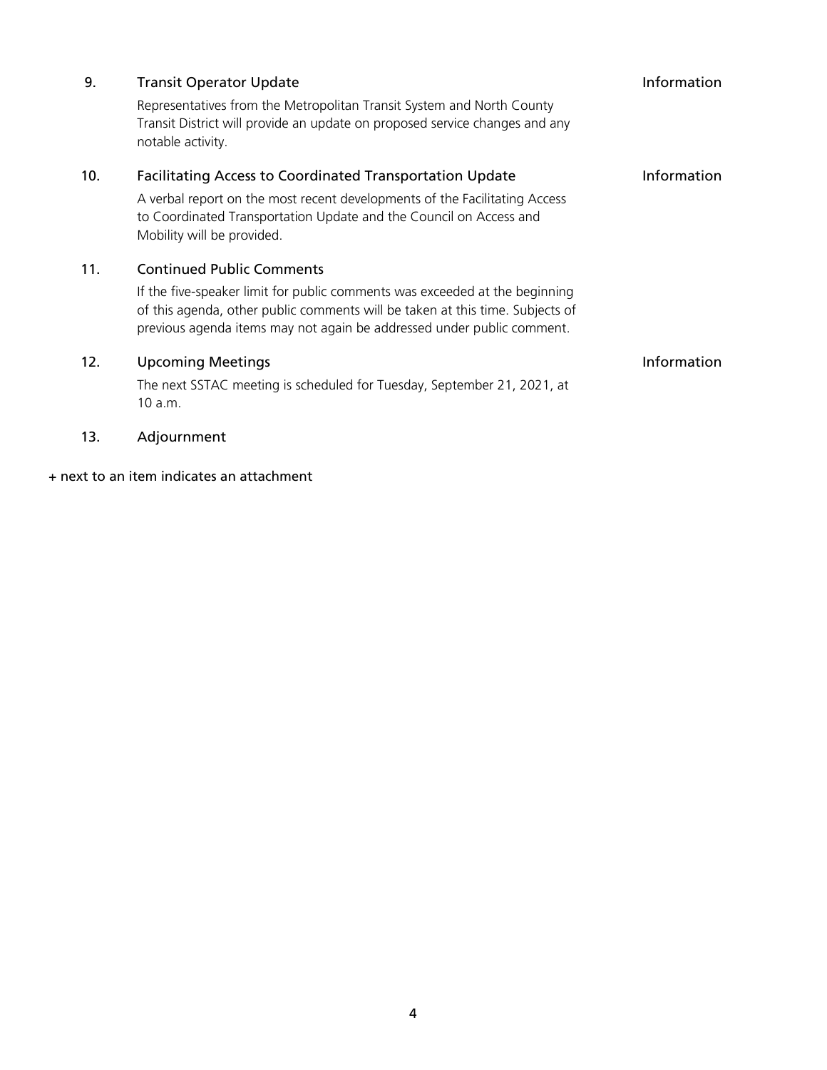| 9.  | <b>Transit Operator Update</b>                                                                                                                                                                                                         | Information |
|-----|----------------------------------------------------------------------------------------------------------------------------------------------------------------------------------------------------------------------------------------|-------------|
|     | Representatives from the Metropolitan Transit System and North County<br>Transit District will provide an update on proposed service changes and any<br>notable activity.                                                              |             |
| 10. | <b>Facilitating Access to Coordinated Transportation Update</b>                                                                                                                                                                        | Information |
|     | A verbal report on the most recent developments of the Facilitating Access<br>to Coordinated Transportation Update and the Council on Access and<br>Mobility will be provided.                                                         |             |
| 11. | <b>Continued Public Comments</b>                                                                                                                                                                                                       |             |
|     | If the five-speaker limit for public comments was exceeded at the beginning<br>of this agenda, other public comments will be taken at this time. Subjects of<br>previous agenda items may not again be addressed under public comment. |             |
| 12. | <b>Upcoming Meetings</b>                                                                                                                                                                                                               | Information |
|     | The next SSTAC meeting is scheduled for Tuesday, September 21, 2021, at<br>10 a.m.                                                                                                                                                     |             |

13. Adjournment

+ next to an item indicates an attachment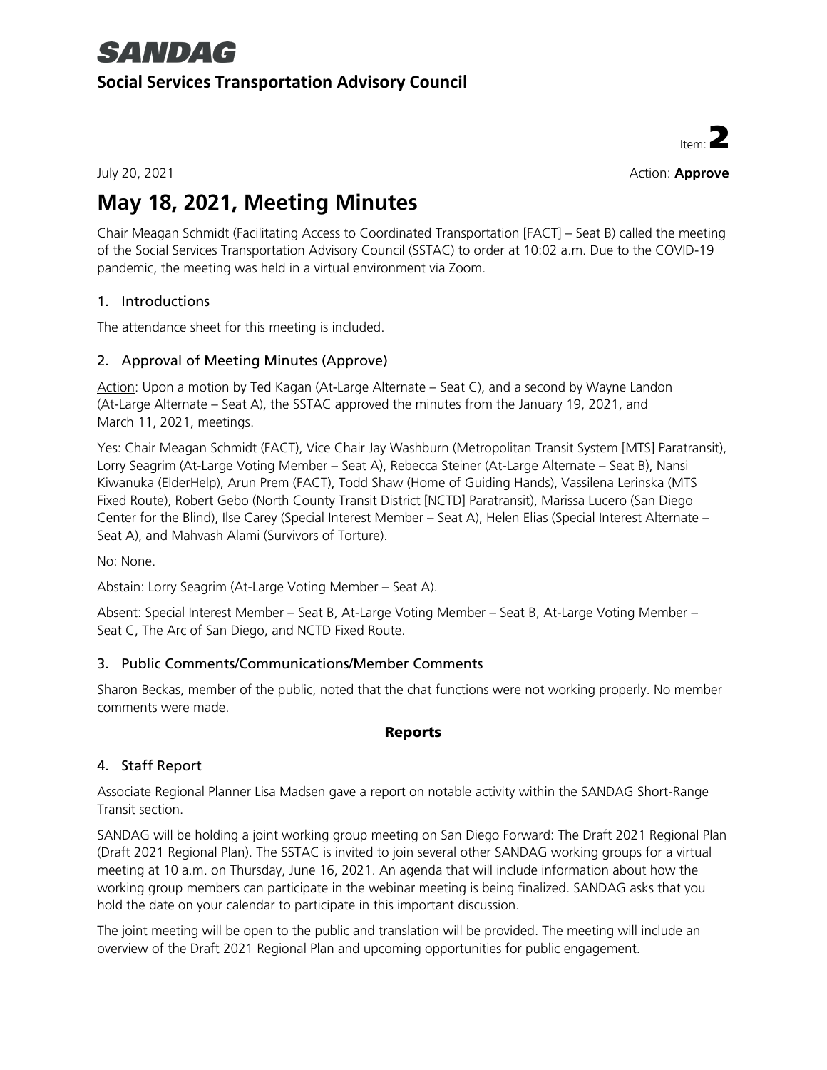## **SANDAG**

#### **Social Services Transportation Advisory Council**



July 20, 2021 Action: **Approve**

## **May 18, 2021, Meeting Minutes**

Chair Meagan Schmidt (Facilitating Access to Coordinated Transportation [FACT] – Seat B) called the meeting of the Social Services Transportation Advisory Council (SSTAC) to order at 10:02 a.m. Due to the COVID-19 pandemic, the meeting was held in a virtual environment via Zoom.

#### 1. Introductions

The attendance sheet for this meeting is included.

### 2. Approval of Meeting Minutes (Approve)

Action: Upon a motion by Ted Kagan (At-Large Alternate – Seat C), and a second by Wayne Landon (At-Large Alternate – Seat A), the SSTAC approved the minutes from the January 19, 2021, and March 11, 2021, meetings.

Yes: Chair Meagan Schmidt (FACT), Vice Chair Jay Washburn (Metropolitan Transit System [MTS] Paratransit), Lorry Seagrim (At-Large Voting Member – Seat A), Rebecca Steiner (At-Large Alternate – Seat B), Nansi Kiwanuka (ElderHelp), Arun Prem (FACT), Todd Shaw (Home of Guiding Hands), Vassilena Lerinska (MTS Fixed Route), Robert Gebo (North County Transit District [NCTD] Paratransit), Marissa Lucero (San Diego Center for the Blind), Ilse Carey (Special Interest Member – Seat A), Helen Elias (Special Interest Alternate – Seat A), and Mahvash Alami (Survivors of Torture).

No: None.

Abstain: Lorry Seagrim (At-Large Voting Member – Seat A).

Absent: Special Interest Member – Seat B, At-Large Voting Member – Seat B, At-Large Voting Member – Seat C, The Arc of San Diego, and NCTD Fixed Route.

#### 3. Public Comments/Communications/Member Comments

Sharon Beckas, member of the public, noted that the chat functions were not working properly. No member comments were made.

#### Reports

### 4. Staff Report

Associate Regional Planner Lisa Madsen gave a report on notable activity within the SANDAG Short-Range Transit section.

SANDAG will be holding a joint working group meeting on San Diego Forward: The Draft 2021 Regional Plan (Draft 2021 Regional Plan). The SSTAC is invited to join several other SANDAG working groups for a virtual meeting at 10 a.m. on Thursday, June 16, 2021. An agenda that will include information about how the working group members can participate in the webinar meeting is being finalized. SANDAG asks that you hold the date on your calendar to participate in this important discussion.

The joint meeting will be open to the public and translation will be provided. The meeting will include an overview of the Draft 2021 Regional Plan and upcoming opportunities for public engagement.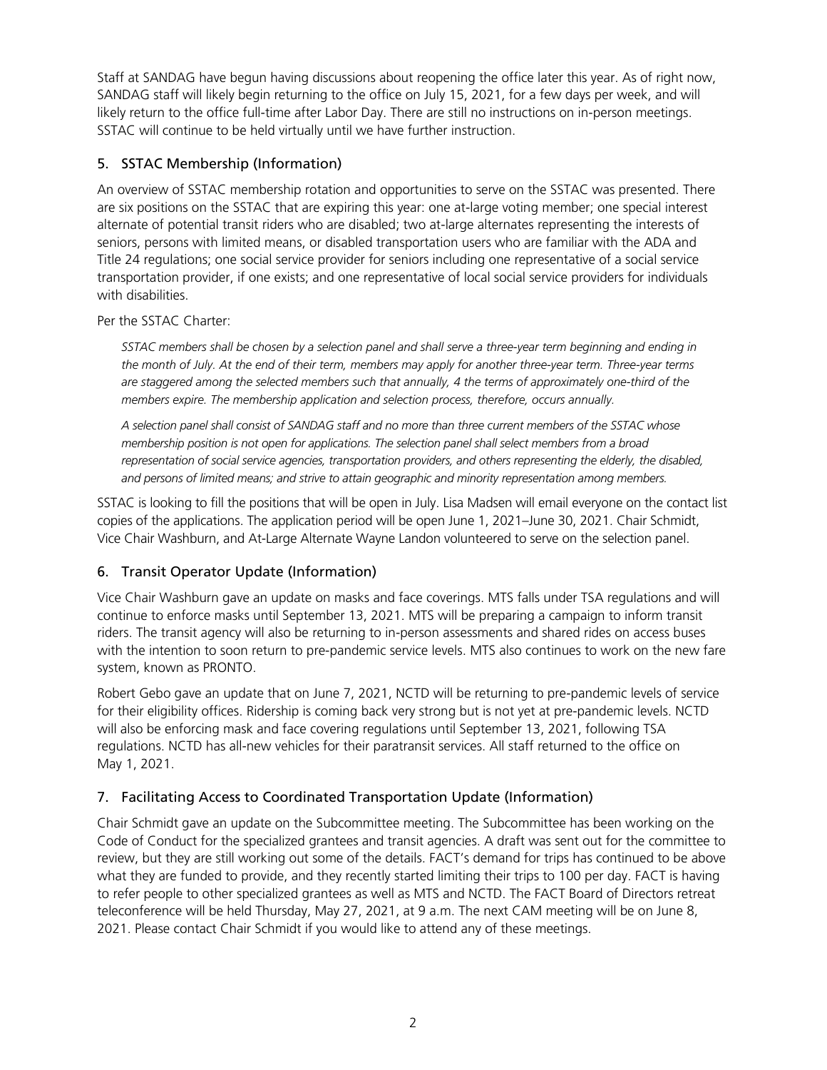Staff at SANDAG have begun having discussions about reopening the office later this year. As of right now, SANDAG staff will likely begin returning to the office on July 15, 2021, for a few days per week, and will likely return to the office full-time after Labor Day. There are still no instructions on in-person meetings. SSTAC will continue to be held virtually until we have further instruction.

#### 5. SSTAC Membership (Information)

An overview of SSTAC membership rotation and opportunities to serve on the SSTAC was presented. There are six positions on the SSTAC that are expiring this year: one at-large voting member; one special interest alternate of potential transit riders who are disabled; two at-large alternates representing the interests of seniors, persons with limited means, or disabled transportation users who are familiar with the ADA and Title 24 regulations; one social service provider for seniors including one representative of a social service transportation provider, if one exists; and one representative of local social service providers for individuals with disabilities.

Per the SSTAC Charter:

*SSTAC members shall be chosen by a selection panel and shall serve a three-year term beginning and ending in the month of July. At the end of their term, members may apply for another three-year term. Three-year terms are staggered among the selected members such that annually, 4 the terms of approximately one-third of the members expire. The membership application and selection process, therefore, occurs annually.* 

*A selection panel shall consist of SANDAG staff and no more than three current members of the SSTAC whose membership position is not open for applications. The selection panel shall select members from a broad*  representation of social service agencies, transportation providers, and others representing the elderly, the disabled, *and persons of limited means; and strive to attain geographic and minority representation among members.*

SSTAC is looking to fill the positions that will be open in July. Lisa Madsen will email everyone on the contact list copies of the applications. The application period will be open June 1, 2021–June 30, 2021. Chair Schmidt, Vice Chair Washburn, and At-Large Alternate Wayne Landon volunteered to serve on the selection panel.

#### 6. Transit Operator Update (Information)

Vice Chair Washburn gave an update on masks and face coverings. MTS falls under TSA regulations and will continue to enforce masks until September 13, 2021. MTS will be preparing a campaign to inform transit riders. The transit agency will also be returning to in-person assessments and shared rides on access buses with the intention to soon return to pre-pandemic service levels. MTS also continues to work on the new fare system, known as PRONTO.

Robert Gebo gave an update that on June 7, 2021, NCTD will be returning to pre-pandemic levels of service for their eligibility offices. Ridership is coming back very strong but is not yet at pre-pandemic levels. NCTD will also be enforcing mask and face covering regulations until September 13, 2021, following TSA regulations. NCTD has all-new vehicles for their paratransit services. All staff returned to the office on May 1, 2021.

#### 7. Facilitating Access to Coordinated Transportation Update (Information)

Chair Schmidt gave an update on the Subcommittee meeting. The Subcommittee has been working on the Code of Conduct for the specialized grantees and transit agencies. A draft was sent out for the committee to review, but they are still working out some of the details. FACT's demand for trips has continued to be above what they are funded to provide, and they recently started limiting their trips to 100 per day. FACT is having to refer people to other specialized grantees as well as MTS and NCTD. The FACT Board of Directors retreat teleconference will be held Thursday, May 27, 2021, at 9 a.m. The next CAM meeting will be on June 8, 2021. Please contact Chair Schmidt if you would like to attend any of these meetings.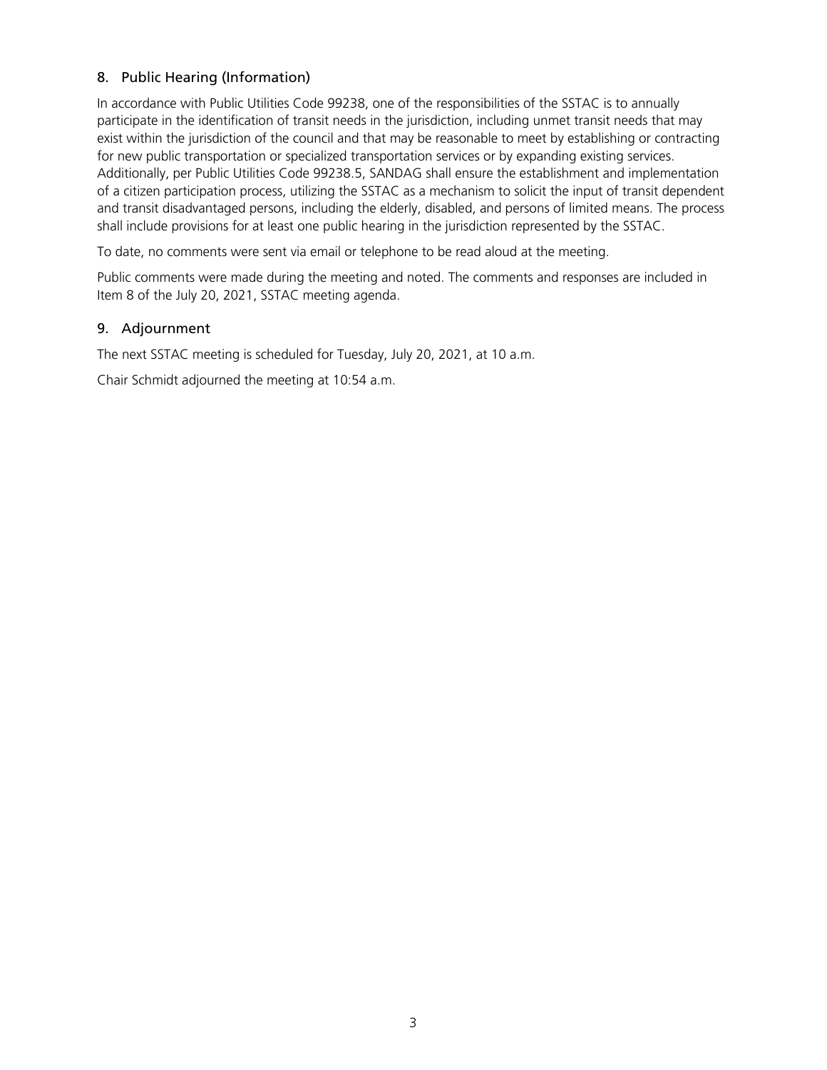#### 8. Public Hearing (Information)

In accordance with Public Utilities Code 99238, one of the responsibilities of the SSTAC is to annually participate in the identification of transit needs in the jurisdiction, including unmet transit needs that may exist within the jurisdiction of the council and that may be reasonable to meet by establishing or contracting for new public transportation or specialized transportation services or by expanding existing services. Additionally, per Public Utilities Code 99238.5, SANDAG shall ensure the establishment and implementation of a citizen participation process, utilizing the SSTAC as a mechanism to solicit the input of transit dependent and transit disadvantaged persons, including the elderly, disabled, and persons of limited means. The process shall include provisions for at least one public hearing in the jurisdiction represented by the SSTAC.

To date, no comments were sent via email or telephone to be read aloud at the meeting.

Public comments were made during the meeting and noted. The comments and responses are included in Item 8 of the July 20, 2021, SSTAC meeting agenda.

#### 9. Adjournment

The next SSTAC meeting is scheduled for Tuesday, July 20, 2021, at 10 a.m.

Chair Schmidt adjourned the meeting at 10:54 a.m.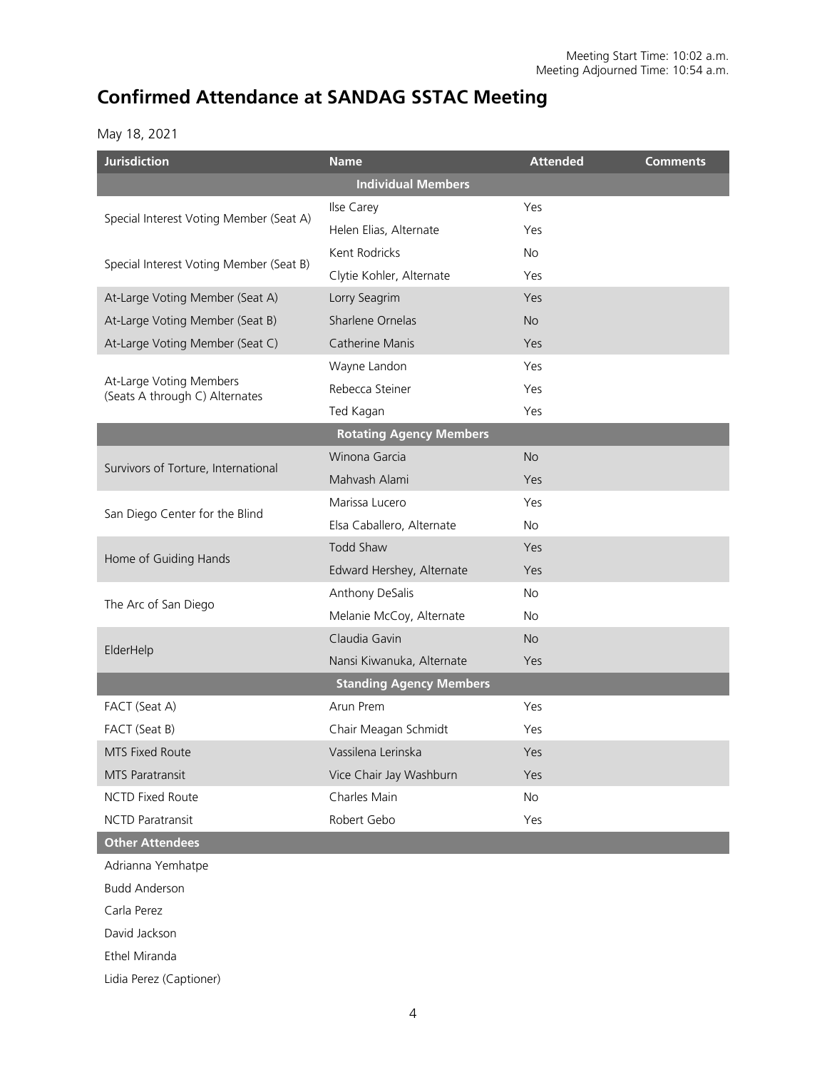### **Confirmed Attendance at SANDAG SSTAC Meeting**

#### May 18, 2021

| <b>Jurisdiction</b>                                       | <b>Name</b>                    | <b>Attended</b> | <b>Comments</b> |  |  |
|-----------------------------------------------------------|--------------------------------|-----------------|-----------------|--|--|
|                                                           | <b>Individual Members</b>      |                 |                 |  |  |
| Special Interest Voting Member (Seat A)                   | Ilse Carey                     | Yes             |                 |  |  |
|                                                           | Helen Elias, Alternate         | Yes             |                 |  |  |
| Special Interest Voting Member (Seat B)                   | Kent Rodricks                  | <b>No</b>       |                 |  |  |
|                                                           | Clytie Kohler, Alternate       | Yes             |                 |  |  |
| At-Large Voting Member (Seat A)                           | Lorry Seagrim                  | Yes             |                 |  |  |
| At-Large Voting Member (Seat B)                           | Sharlene Ornelas               | <b>No</b>       |                 |  |  |
| At-Large Voting Member (Seat C)                           | <b>Catherine Manis</b>         | Yes             |                 |  |  |
|                                                           | Wayne Landon                   | Yes             |                 |  |  |
| At-Large Voting Members<br>(Seats A through C) Alternates | Rebecca Steiner                | Yes             |                 |  |  |
|                                                           | Ted Kagan                      | Yes             |                 |  |  |
|                                                           | <b>Rotating Agency Members</b> |                 |                 |  |  |
| Survivors of Torture, International                       | Winona Garcia                  | <b>No</b>       |                 |  |  |
|                                                           | Mahyash Alami                  | Yes             |                 |  |  |
| San Diego Center for the Blind                            | Marissa Lucero                 | Yes             |                 |  |  |
|                                                           | Elsa Caballero, Alternate      | <b>No</b>       |                 |  |  |
| Home of Guiding Hands                                     | Todd Shaw                      | Yes             |                 |  |  |
|                                                           | Edward Hershey, Alternate      | Yes             |                 |  |  |
|                                                           | Anthony DeSalis                | <b>No</b>       |                 |  |  |
| The Arc of San Diego                                      | Melanie McCoy, Alternate       | No.             |                 |  |  |
|                                                           | Claudia Gavin                  | <b>No</b>       |                 |  |  |
| ElderHelp                                                 | Nansi Kiwanuka, Alternate      | Yes             |                 |  |  |
|                                                           | <b>Standing Agency Members</b> |                 |                 |  |  |
| FACT (Seat A)                                             | Arun Prem                      | Yes             |                 |  |  |
| FACT (Seat B)                                             | Chair Meagan Schmidt           | Yes             |                 |  |  |
| MTS Fixed Route                                           | Vassilena Lerinska             | Yes             |                 |  |  |
| MTS Paratransit                                           | Vice Chair Jay Washburn        | Yes             |                 |  |  |
| <b>NCTD Fixed Route</b>                                   | Charles Main                   | No              |                 |  |  |
| <b>NCTD Paratransit</b>                                   | Robert Gebo                    | Yes             |                 |  |  |
| <b>Other Attendees</b>                                    |                                |                 |                 |  |  |
| Adrianna Yemhatpe                                         |                                |                 |                 |  |  |

Budd Anderson

Carla Perez

David Jackson

Ethel Miranda

Lidia Perez (Captioner)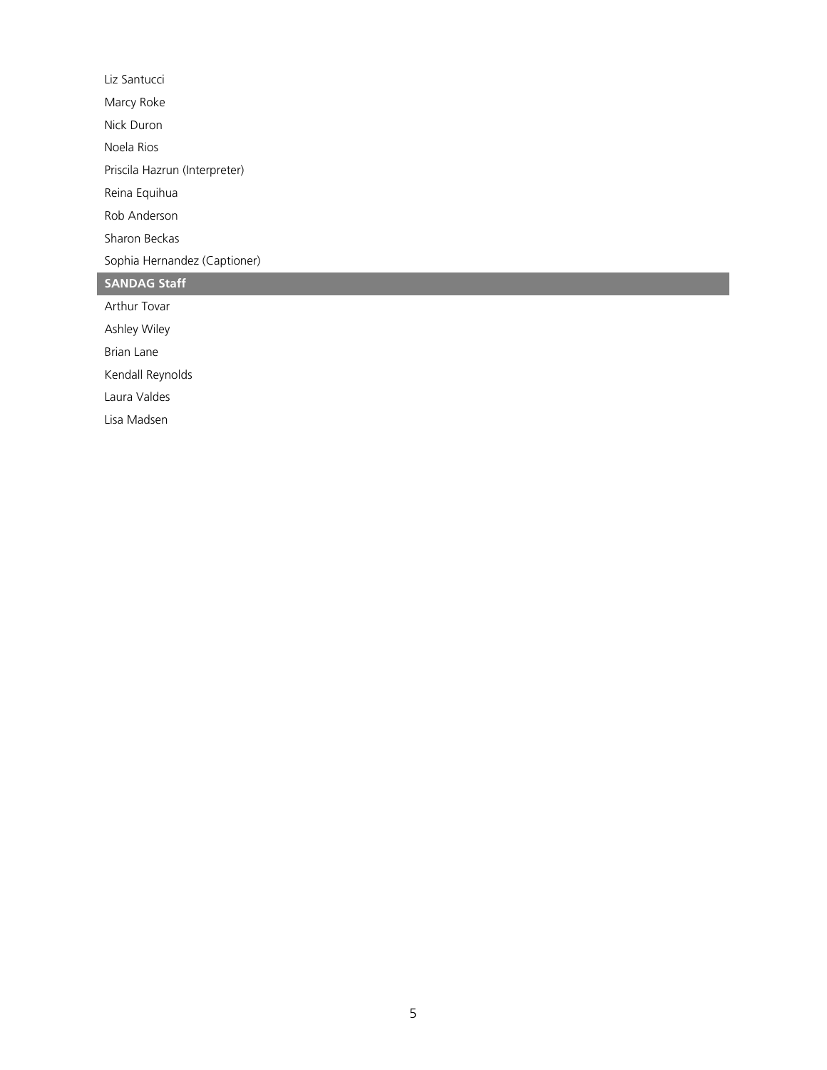Liz Santucci Marcy Roke Nick Duron Noela Rios Priscila Hazrun (Interpreter) Reina Equihua Rob Anderson Sharon Beckas Sophia Hernandez (Captioner) **SANDAG Staff** Arthur Tovar

Ashley Wiley

Brian Lane

Kendall Reynolds

Laura Valdes

Lisa Madsen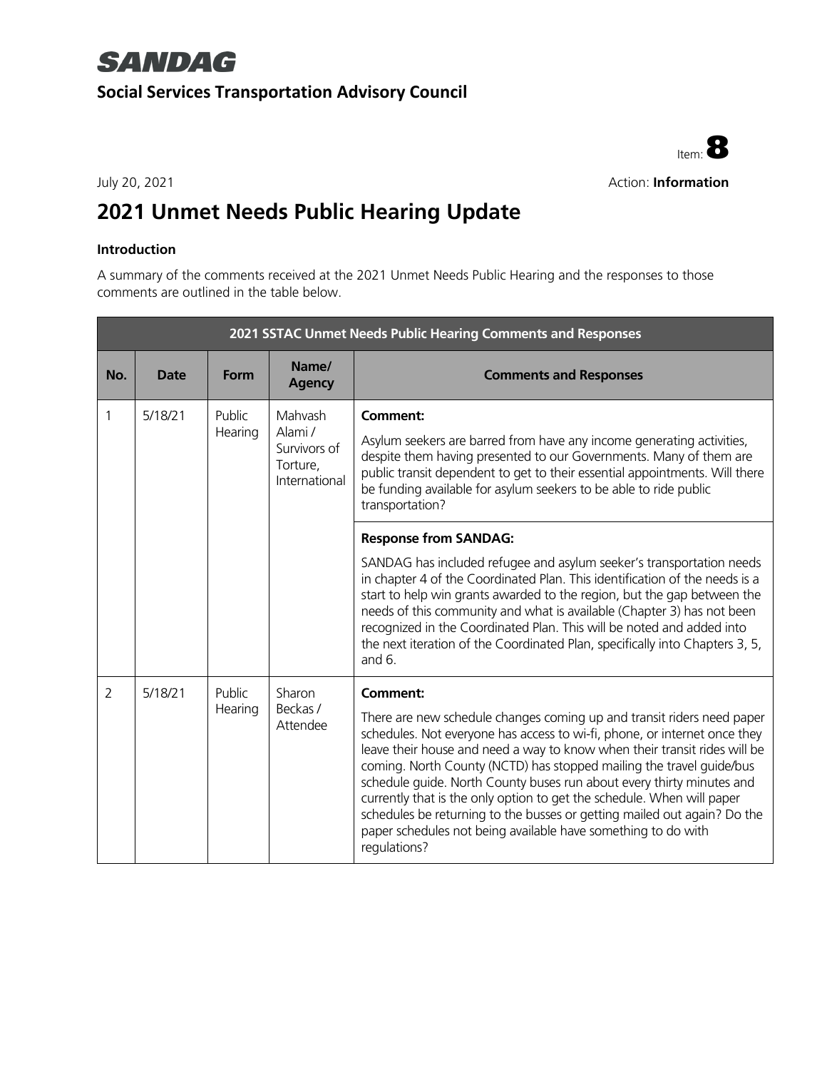## **SANDAG Social Services Transportation Advisory Council**



#### July 20, 2021 **Action: Information**

## **2021 Unmet Needs Public Hearing Update**

#### **Introduction**

A summary of the comments received at the 2021 Unmet Needs Public Hearing and the responses to those comments are outlined in the table below.

|                | 2021 SSTAC Unmet Needs Public Hearing Comments and Responses   |                               |                                                                                                                                                                                                                                                                                                                                       |                                                                                                                                                                                                                                                                                                                                                                                                                                                                                                                                                                                                                                             |  |
|----------------|----------------------------------------------------------------|-------------------------------|---------------------------------------------------------------------------------------------------------------------------------------------------------------------------------------------------------------------------------------------------------------------------------------------------------------------------------------|---------------------------------------------------------------------------------------------------------------------------------------------------------------------------------------------------------------------------------------------------------------------------------------------------------------------------------------------------------------------------------------------------------------------------------------------------------------------------------------------------------------------------------------------------------------------------------------------------------------------------------------------|--|
| No.            | <b>Date</b>                                                    | Form                          | Name/<br><b>Agency</b>                                                                                                                                                                                                                                                                                                                | <b>Comments and Responses</b>                                                                                                                                                                                                                                                                                                                                                                                                                                                                                                                                                                                                               |  |
| 1              | Public<br>Mahvash<br>5/18/21<br>Alami /<br>Hearing<br>Torture, | Survivors of<br>International | <b>Comment:</b><br>Asylum seekers are barred from have any income generating activities,<br>despite them having presented to our Governments. Many of them are<br>public transit dependent to get to their essential appointments. Will there<br>be funding available for asylum seekers to be able to ride public<br>transportation? |                                                                                                                                                                                                                                                                                                                                                                                                                                                                                                                                                                                                                                             |  |
|                |                                                                |                               |                                                                                                                                                                                                                                                                                                                                       | <b>Response from SANDAG:</b><br>SANDAG has included refugee and asylum seeker's transportation needs<br>in chapter 4 of the Coordinated Plan. This identification of the needs is a<br>start to help win grants awarded to the region, but the gap between the<br>needs of this community and what is available (Chapter 3) has not been<br>recognized in the Coordinated Plan. This will be noted and added into<br>the next iteration of the Coordinated Plan, specifically into Chapters 3, 5,<br>and $6.$                                                                                                                               |  |
| $\overline{2}$ | 5/18/21                                                        | Public<br>Hearing             | Sharon<br>Beckas /<br>Attendee                                                                                                                                                                                                                                                                                                        | <b>Comment:</b><br>There are new schedule changes coming up and transit riders need paper<br>schedules. Not everyone has access to wi-fi, phone, or internet once they<br>leave their house and need a way to know when their transit rides will be<br>coming. North County (NCTD) has stopped mailing the travel guide/bus<br>schedule quide. North County buses run about every thirty minutes and<br>currently that is the only option to get the schedule. When will paper<br>schedules be returning to the busses or getting mailed out again? Do the<br>paper schedules not being available have something to do with<br>regulations? |  |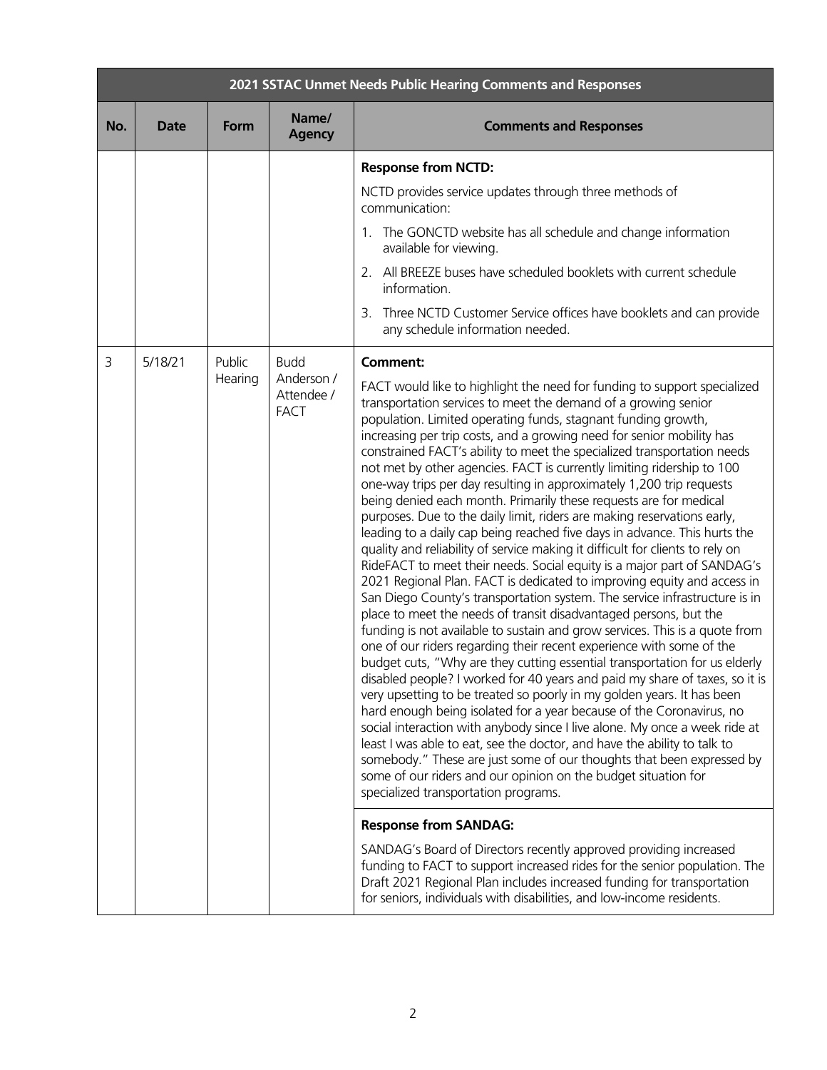|     | 2021 SSTAC Unmet Needs Public Hearing Comments and Responses |             |                                         |                                                                                                                                                                                                                                                                                                                                                                                                                                                                                                                                                                                                                                                                                                                                                                                                                                                                                                                                                                                                                                                                                                                                                                                                                                                                                                                                                                                                                                                                                                                                                                                                                                                                                                                                                                                                                                                                                                                                                             |  |
|-----|--------------------------------------------------------------|-------------|-----------------------------------------|-------------------------------------------------------------------------------------------------------------------------------------------------------------------------------------------------------------------------------------------------------------------------------------------------------------------------------------------------------------------------------------------------------------------------------------------------------------------------------------------------------------------------------------------------------------------------------------------------------------------------------------------------------------------------------------------------------------------------------------------------------------------------------------------------------------------------------------------------------------------------------------------------------------------------------------------------------------------------------------------------------------------------------------------------------------------------------------------------------------------------------------------------------------------------------------------------------------------------------------------------------------------------------------------------------------------------------------------------------------------------------------------------------------------------------------------------------------------------------------------------------------------------------------------------------------------------------------------------------------------------------------------------------------------------------------------------------------------------------------------------------------------------------------------------------------------------------------------------------------------------------------------------------------------------------------------------------------|--|
| No. | <b>Date</b>                                                  | <b>Form</b> | Name/<br><b>Agency</b>                  | <b>Comments and Responses</b>                                                                                                                                                                                                                                                                                                                                                                                                                                                                                                                                                                                                                                                                                                                                                                                                                                                                                                                                                                                                                                                                                                                                                                                                                                                                                                                                                                                                                                                                                                                                                                                                                                                                                                                                                                                                                                                                                                                               |  |
|     |                                                              |             |                                         | <b>Response from NCTD:</b>                                                                                                                                                                                                                                                                                                                                                                                                                                                                                                                                                                                                                                                                                                                                                                                                                                                                                                                                                                                                                                                                                                                                                                                                                                                                                                                                                                                                                                                                                                                                                                                                                                                                                                                                                                                                                                                                                                                                  |  |
|     |                                                              |             |                                         | NCTD provides service updates through three methods of<br>communication:                                                                                                                                                                                                                                                                                                                                                                                                                                                                                                                                                                                                                                                                                                                                                                                                                                                                                                                                                                                                                                                                                                                                                                                                                                                                                                                                                                                                                                                                                                                                                                                                                                                                                                                                                                                                                                                                                    |  |
|     |                                                              |             |                                         | 1. The GONCTD website has all schedule and change information<br>available for viewing.                                                                                                                                                                                                                                                                                                                                                                                                                                                                                                                                                                                                                                                                                                                                                                                                                                                                                                                                                                                                                                                                                                                                                                                                                                                                                                                                                                                                                                                                                                                                                                                                                                                                                                                                                                                                                                                                     |  |
|     |                                                              |             |                                         | 2. All BREEZE buses have scheduled booklets with current schedule<br>information.                                                                                                                                                                                                                                                                                                                                                                                                                                                                                                                                                                                                                                                                                                                                                                                                                                                                                                                                                                                                                                                                                                                                                                                                                                                                                                                                                                                                                                                                                                                                                                                                                                                                                                                                                                                                                                                                           |  |
|     |                                                              |             |                                         | 3. Three NCTD Customer Service offices have booklets and can provide<br>any schedule information needed.                                                                                                                                                                                                                                                                                                                                                                                                                                                                                                                                                                                                                                                                                                                                                                                                                                                                                                                                                                                                                                                                                                                                                                                                                                                                                                                                                                                                                                                                                                                                                                                                                                                                                                                                                                                                                                                    |  |
| 3   | 5/18/21                                                      | Public      | <b>Budd</b>                             | Comment:                                                                                                                                                                                                                                                                                                                                                                                                                                                                                                                                                                                                                                                                                                                                                                                                                                                                                                                                                                                                                                                                                                                                                                                                                                                                                                                                                                                                                                                                                                                                                                                                                                                                                                                                                                                                                                                                                                                                                    |  |
|     |                                                              | Hearing     | Anderson /<br>Attendee /<br><b>FACT</b> | FACT would like to highlight the need for funding to support specialized<br>transportation services to meet the demand of a growing senior<br>population. Limited operating funds, stagnant funding growth,<br>increasing per trip costs, and a growing need for senior mobility has<br>constrained FACT's ability to meet the specialized transportation needs<br>not met by other agencies. FACT is currently limiting ridership to 100<br>one-way trips per day resulting in approximately 1,200 trip requests<br>being denied each month. Primarily these requests are for medical<br>purposes. Due to the daily limit, riders are making reservations early,<br>leading to a daily cap being reached five days in advance. This hurts the<br>quality and reliability of service making it difficult for clients to rely on<br>RideFACT to meet their needs. Social equity is a major part of SANDAG's<br>2021 Regional Plan. FACT is dedicated to improving equity and access in<br>San Diego County's transportation system. The service infrastructure is in<br>place to meet the needs of transit disadvantaged persons, but the<br>funding is not available to sustain and grow services. This is a quote from<br>one of our riders regarding their recent experience with some of the<br>budget cuts, "Why are they cutting essential transportation for us elderly<br>disabled people? I worked for 40 years and paid my share of taxes, so it is<br>very upsetting to be treated so poorly in my golden years. It has been<br>hard enough being isolated for a year because of the Coronavirus, no<br>social interaction with anybody since I live alone. My once a week ride at<br>least I was able to eat, see the doctor, and have the ability to talk to<br>somebody." These are just some of our thoughts that been expressed by<br>some of our riders and our opinion on the budget situation for<br>specialized transportation programs. |  |
|     |                                                              |             |                                         | <b>Response from SANDAG:</b>                                                                                                                                                                                                                                                                                                                                                                                                                                                                                                                                                                                                                                                                                                                                                                                                                                                                                                                                                                                                                                                                                                                                                                                                                                                                                                                                                                                                                                                                                                                                                                                                                                                                                                                                                                                                                                                                                                                                |  |
|     |                                                              |             |                                         | SANDAG's Board of Directors recently approved providing increased<br>funding to FACT to support increased rides for the senior population. The<br>Draft 2021 Regional Plan includes increased funding for transportation<br>for seniors, individuals with disabilities, and low-income residents.                                                                                                                                                                                                                                                                                                                                                                                                                                                                                                                                                                                                                                                                                                                                                                                                                                                                                                                                                                                                                                                                                                                                                                                                                                                                                                                                                                                                                                                                                                                                                                                                                                                           |  |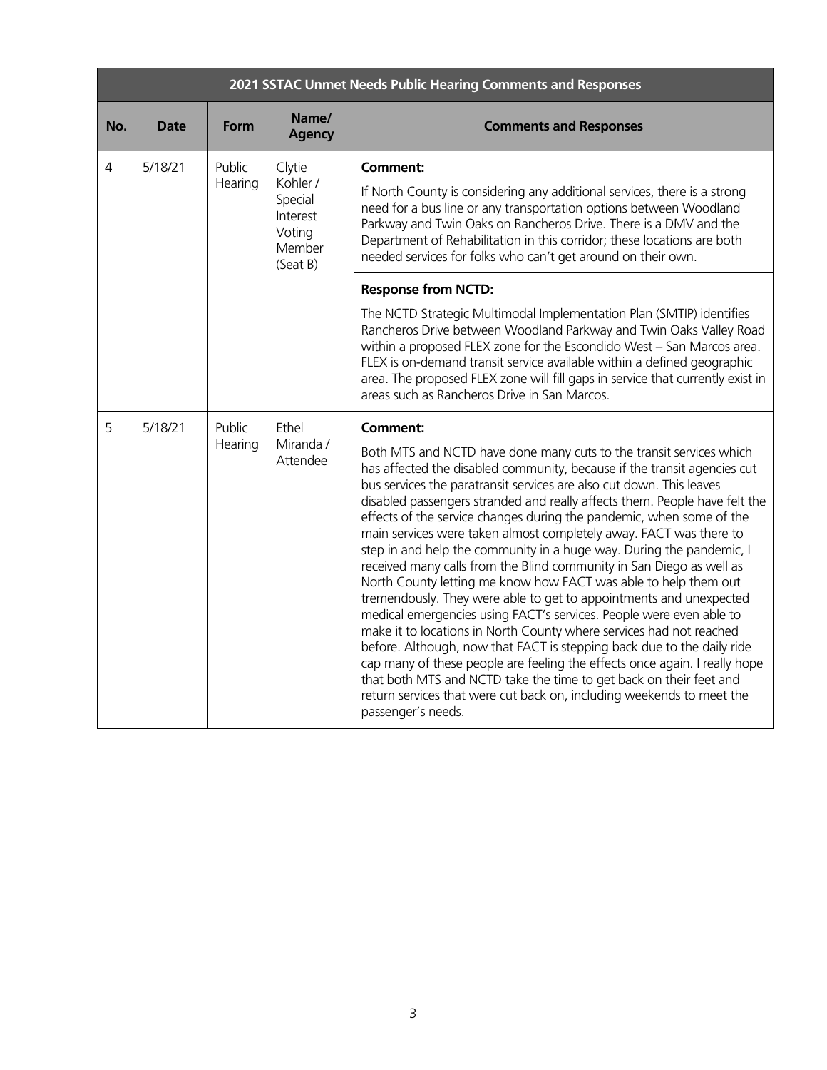|     | 2021 SSTAC Unmet Needs Public Hearing Comments and Responses |                   |                                                                           |                                                                                                                                                                                                                                                                                                                                                                                                                                                                                                                                                                                                                                                                                                                                                                                                                                                                                                                                                                                                                                                                                                                                                                                                                                            |  |  |
|-----|--------------------------------------------------------------|-------------------|---------------------------------------------------------------------------|--------------------------------------------------------------------------------------------------------------------------------------------------------------------------------------------------------------------------------------------------------------------------------------------------------------------------------------------------------------------------------------------------------------------------------------------------------------------------------------------------------------------------------------------------------------------------------------------------------------------------------------------------------------------------------------------------------------------------------------------------------------------------------------------------------------------------------------------------------------------------------------------------------------------------------------------------------------------------------------------------------------------------------------------------------------------------------------------------------------------------------------------------------------------------------------------------------------------------------------------|--|--|
| No. | <b>Date</b>                                                  | Form              | Name/<br><b>Agency</b>                                                    | <b>Comments and Responses</b>                                                                                                                                                                                                                                                                                                                                                                                                                                                                                                                                                                                                                                                                                                                                                                                                                                                                                                                                                                                                                                                                                                                                                                                                              |  |  |
| 4   | 5/18/21                                                      | Public<br>Hearing | Clytie<br>Kohler /<br>Special<br>Interest<br>Voting<br>Member<br>(Seat B) | <b>Comment:</b><br>If North County is considering any additional services, there is a strong<br>need for a bus line or any transportation options between Woodland<br>Parkway and Twin Oaks on Rancheros Drive. There is a DMV and the<br>Department of Rehabilitation in this corridor; these locations are both<br>needed services for folks who can't get around on their own.                                                                                                                                                                                                                                                                                                                                                                                                                                                                                                                                                                                                                                                                                                                                                                                                                                                          |  |  |
|     |                                                              |                   |                                                                           | <b>Response from NCTD:</b>                                                                                                                                                                                                                                                                                                                                                                                                                                                                                                                                                                                                                                                                                                                                                                                                                                                                                                                                                                                                                                                                                                                                                                                                                 |  |  |
|     |                                                              |                   |                                                                           | The NCTD Strategic Multimodal Implementation Plan (SMTIP) identifies<br>Rancheros Drive between Woodland Parkway and Twin Oaks Valley Road<br>within a proposed FLEX zone for the Escondido West - San Marcos area.<br>FLEX is on-demand transit service available within a defined geographic<br>area. The proposed FLEX zone will fill gaps in service that currently exist in<br>areas such as Rancheros Drive in San Marcos.                                                                                                                                                                                                                                                                                                                                                                                                                                                                                                                                                                                                                                                                                                                                                                                                           |  |  |
| 5   | 5/18/21                                                      | Public<br>Hearing | Ethel<br>Miranda /<br>Attendee                                            | <b>Comment:</b><br>Both MTS and NCTD have done many cuts to the transit services which<br>has affected the disabled community, because if the transit agencies cut<br>bus services the paratransit services are also cut down. This leaves<br>disabled passengers stranded and really affects them. People have felt the<br>effects of the service changes during the pandemic, when some of the<br>main services were taken almost completely away. FACT was there to<br>step in and help the community in a huge way. During the pandemic, I<br>received many calls from the Blind community in San Diego as well as<br>North County letting me know how FACT was able to help them out<br>tremendously. They were able to get to appointments and unexpected<br>medical emergencies using FACT's services. People were even able to<br>make it to locations in North County where services had not reached<br>before. Although, now that FACT is stepping back due to the daily ride<br>cap many of these people are feeling the effects once again. I really hope<br>that both MTS and NCTD take the time to get back on their feet and<br>return services that were cut back on, including weekends to meet the<br>passenger's needs. |  |  |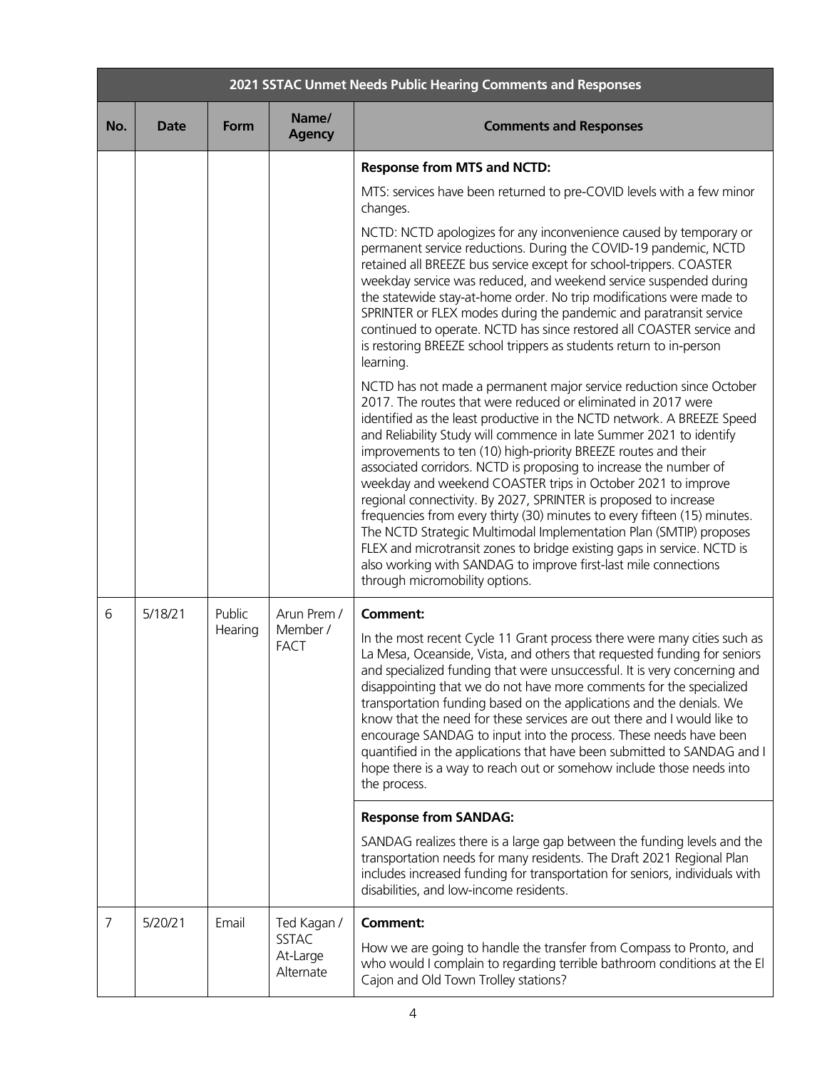|     | 2021 SSTAC Unmet Needs Public Hearing Comments and Responses |             |                                       |                                                                                                                                                                                                                                                                                                                                                                                                                                                                                                                                                                                                                                                                                                                                                                                                                                                                                                     |  |
|-----|--------------------------------------------------------------|-------------|---------------------------------------|-----------------------------------------------------------------------------------------------------------------------------------------------------------------------------------------------------------------------------------------------------------------------------------------------------------------------------------------------------------------------------------------------------------------------------------------------------------------------------------------------------------------------------------------------------------------------------------------------------------------------------------------------------------------------------------------------------------------------------------------------------------------------------------------------------------------------------------------------------------------------------------------------------|--|
| No. | <b>Date</b>                                                  | <b>Form</b> | Name/<br><b>Agency</b>                | <b>Comments and Responses</b>                                                                                                                                                                                                                                                                                                                                                                                                                                                                                                                                                                                                                                                                                                                                                                                                                                                                       |  |
|     |                                                              |             |                                       | <b>Response from MTS and NCTD:</b>                                                                                                                                                                                                                                                                                                                                                                                                                                                                                                                                                                                                                                                                                                                                                                                                                                                                  |  |
|     |                                                              |             |                                       | MTS: services have been returned to pre-COVID levels with a few minor<br>changes.                                                                                                                                                                                                                                                                                                                                                                                                                                                                                                                                                                                                                                                                                                                                                                                                                   |  |
|     |                                                              |             |                                       | NCTD: NCTD apologizes for any inconvenience caused by temporary or<br>permanent service reductions. During the COVID-19 pandemic, NCTD<br>retained all BREEZE bus service except for school-trippers. COASTER<br>weekday service was reduced, and weekend service suspended during<br>the statewide stay-at-home order. No trip modifications were made to<br>SPRINTER or FLEX modes during the pandemic and paratransit service<br>continued to operate. NCTD has since restored all COASTER service and<br>is restoring BREEZE school trippers as students return to in-person<br>learning.                                                                                                                                                                                                                                                                                                       |  |
|     |                                                              |             |                                       | NCTD has not made a permanent major service reduction since October<br>2017. The routes that were reduced or eliminated in 2017 were<br>identified as the least productive in the NCTD network. A BREEZE Speed<br>and Reliability Study will commence in late Summer 2021 to identify<br>improvements to ten (10) high-priority BREEZE routes and their<br>associated corridors. NCTD is proposing to increase the number of<br>weekday and weekend COASTER trips in October 2021 to improve<br>regional connectivity. By 2027, SPRINTER is proposed to increase<br>frequencies from every thirty (30) minutes to every fifteen (15) minutes.<br>The NCTD Strategic Multimodal Implementation Plan (SMTIP) proposes<br>FLEX and microtransit zones to bridge existing gaps in service. NCTD is<br>also working with SANDAG to improve first-last mile connections<br>through micromobility options. |  |
| 6   | 5/18/21                                                      | Public      | Arun Prem /                           | <b>Comment:</b>                                                                                                                                                                                                                                                                                                                                                                                                                                                                                                                                                                                                                                                                                                                                                                                                                                                                                     |  |
|     |                                                              | Hearing     | Member /<br><b>FACT</b>               | In the most recent Cycle 11 Grant process there were many cities such as<br>La Mesa, Oceanside, Vista, and others that requested funding for seniors<br>and specialized funding that were unsuccessful. It is very concerning and<br>disappointing that we do not have more comments for the specialized<br>transportation funding based on the applications and the denials. We<br>know that the need for these services are out there and I would like to<br>encourage SANDAG to input into the process. These needs have been<br>quantified in the applications that have been submitted to SANDAG and I<br>hope there is a way to reach out or somehow include those needs into<br>the process.                                                                                                                                                                                                 |  |
|     |                                                              |             |                                       | <b>Response from SANDAG:</b>                                                                                                                                                                                                                                                                                                                                                                                                                                                                                                                                                                                                                                                                                                                                                                                                                                                                        |  |
|     |                                                              |             |                                       | SANDAG realizes there is a large gap between the funding levels and the<br>transportation needs for many residents. The Draft 2021 Regional Plan<br>includes increased funding for transportation for seniors, individuals with<br>disabilities, and low-income residents.                                                                                                                                                                                                                                                                                                                                                                                                                                                                                                                                                                                                                          |  |
| 7   | 5/20/21                                                      | Email       | Ted Kagan /                           | <b>Comment:</b>                                                                                                                                                                                                                                                                                                                                                                                                                                                                                                                                                                                                                                                                                                                                                                                                                                                                                     |  |
|     |                                                              |             | <b>SSTAC</b><br>At-Large<br>Alternate | How we are going to handle the transfer from Compass to Pronto, and<br>who would I complain to regarding terrible bathroom conditions at the El<br>Cajon and Old Town Trolley stations?                                                                                                                                                                                                                                                                                                                                                                                                                                                                                                                                                                                                                                                                                                             |  |